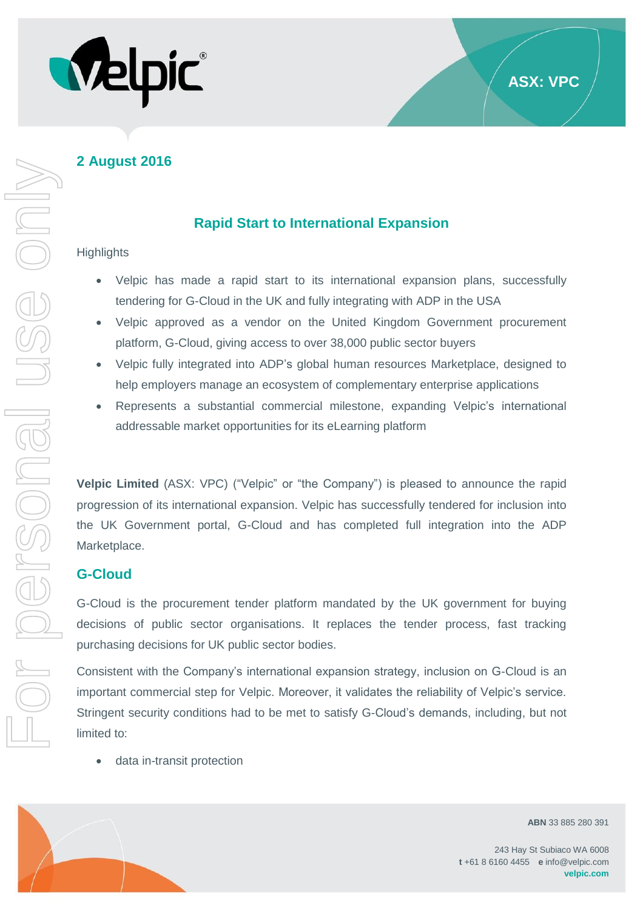

# **Rapid Start to International Expansion**

### **Highlights**

USS ON

r personal

- Velpic has made a rapid start to its international expansion plans, successfully tendering for G-Cloud in the UK and fully integrating with ADP in the USA
- Velpic approved as a vendor on the United Kingdom Government procurement platform, G-Cloud, giving access to over 38,000 public sector buyers
- Velpic fully integrated into ADP's global human resources Marketplace, designed to help employers manage an ecosystem of complementary enterprise applications
- Represents a substantial commercial milestone, expanding Velpic's international addressable market opportunities for its eLearning platform

**Velpic Limited** (ASX: VPC) ("Velpic" or "the Company") is pleased to announce the rapid progression of its international expansion. Velpic has successfully tendered for inclusion into the UK Government portal, G-Cloud and has completed full integration into the ADP Marketplace. For personal use only

### **G-Cloud**

G-Cloud is the procurement tender platform mandated by the UK government for buying decisions of public sector organisations. It replaces the tender process, fast tracking purchasing decisions for UK public sector bodies.

Consistent with the Company's international expansion strategy, inclusion on G-Cloud is an important commercial step for Velpic. Moreover, it validates the reliability of Velpic's service. Stringent security conditions had to be met to satisfy G-Cloud's demands, including, but not limited to:

• data in-transit protection



**ABN** 33 885 280 391

**ASX: VPC**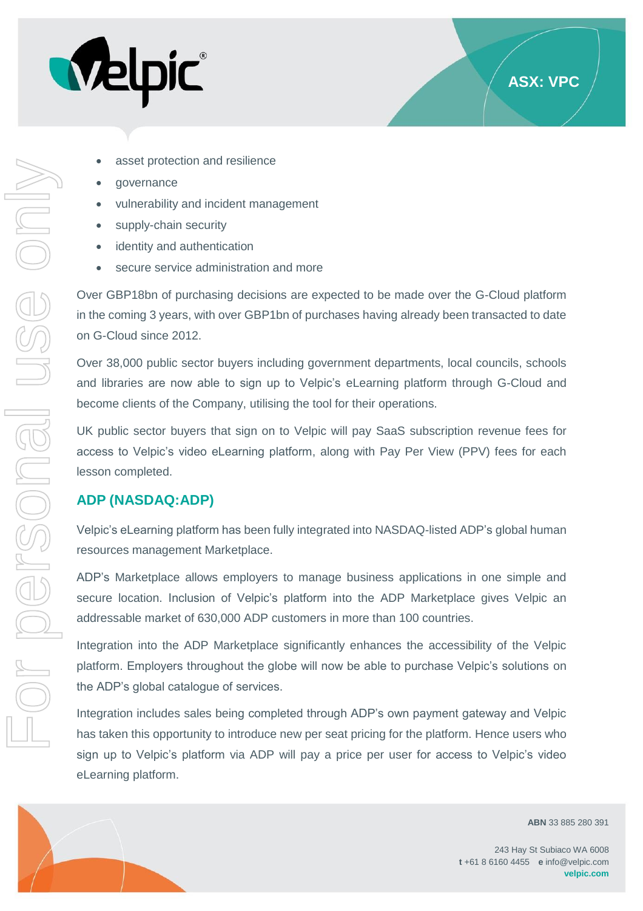

- asset protection and resilience
- governance
- vulnerability and incident management
- supply-chain security
- identity and authentication
- secure service administration and more

Over GBP18bn of purchasing decisions are expected to be made over the G-Cloud platform in the coming 3 years, with over GBP1bn of purchases having already been transacted to date on G-Cloud since 2012.

Over 38,000 public sector buyers including government departments, local councils, schools and libraries are now able to sign up to Velpic's eLearning platform through G-Cloud and become clients of the Company, utilising the tool for their operations.

UK public sector buyers that sign on to Velpic will pay SaaS subscription revenue fees for access to Velpic's video eLearning platform, along with Pay Per View (PPV) fees for each lesson completed.

# **ADP (NASDAQ:ADP)**

For personal use only

r personal

USS ON

Velpic's eLearning platform has been fully integrated into NASDAQ-listed ADP's global human resources management Marketplace.

ADP's Marketplace allows employers to manage business applications in one simple and secure location. Inclusion of Velpic's platform into the ADP Marketplace gives Velpic an addressable market of 630,000 ADP customers in more than 100 countries.

Integration into the ADP Marketplace significantly enhances the accessibility of the Velpic platform. Employers throughout the globe will now be able to purchase Velpic's solutions on the ADP's global catalogue of services.

Integration includes sales being completed through ADP's own payment gateway and Velpic has taken this opportunity to introduce new per seat pricing for the platform. Hence users who sign up to Velpic's platform via ADP will pay a price per user for access to Velpic's video eLearning platform.



**ABN** 33 885 280 391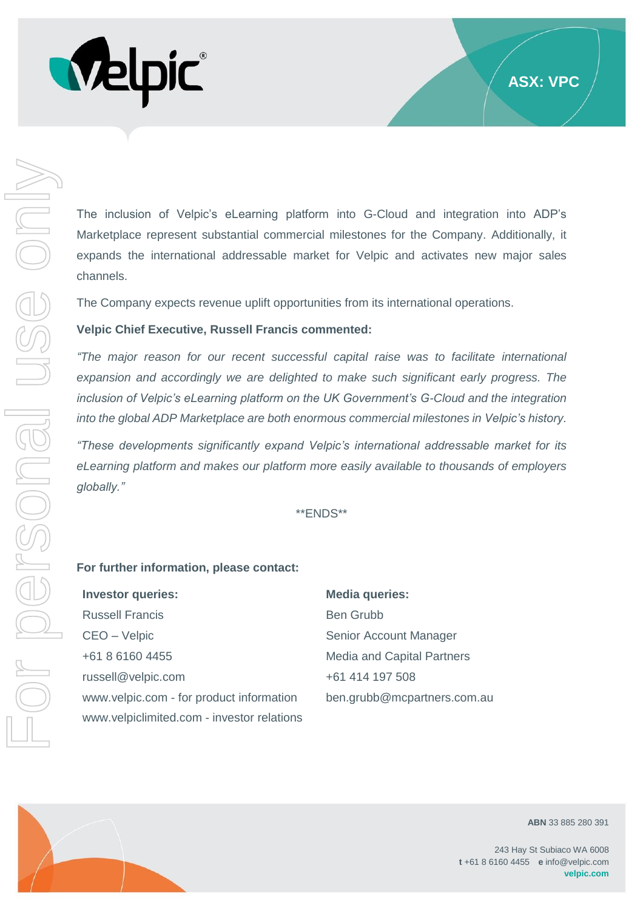

The inclusion of Velpic's eLearning platform into G-Cloud and integration into ADP's Marketplace represent substantial commercial milestones for the Company. Additionally, it expands the international addressable market for Velpic and activates new major sales channels.

The Company expects revenue uplift opportunities from its international operations.

### **Velpic Chief Executive, Russell Francis commented:**

*"The major reason for our recent successful capital raise was to facilitate international expansion and accordingly we are delighted to make such significant early progress. The inclusion of Velpic's eLearning platform on the UK Government's G-Cloud and the integration into the global ADP Marketplace are both enormous commercial milestones in Velpic's history.*

*"These developments significantly expand Velpic's international addressable market for its eLearning platform and makes our platform more easily available to thousands of employers globally."*

\*\*ENDS\*\*

#### **For further information, please contact:**

| <b>Investor queries:</b>                   | <b>Media queries:</b>             |
|--------------------------------------------|-----------------------------------|
| <b>Russell Francis</b>                     | <b>Ben Grubb</b>                  |
| CEO - Velpic                               | Senior Account Manager            |
| +61 8 6160 4455                            | <b>Media and Capital Partners</b> |
| russell@velpic.com                         | +61 414 197 508                   |
| www.velpic.com - for product information   | ben.grubb@mcpartners.com.au       |
| www.velpiclimited.com - investor relations |                                   |



For personal use only

VINGEFSONGILE

**ABN** 33 885 280 391

243 Hay St Subiaco WA 6008 **t** +61 8 6160 4455 **e** info@velpic.com **velpic.com**

**ASX: VPC**